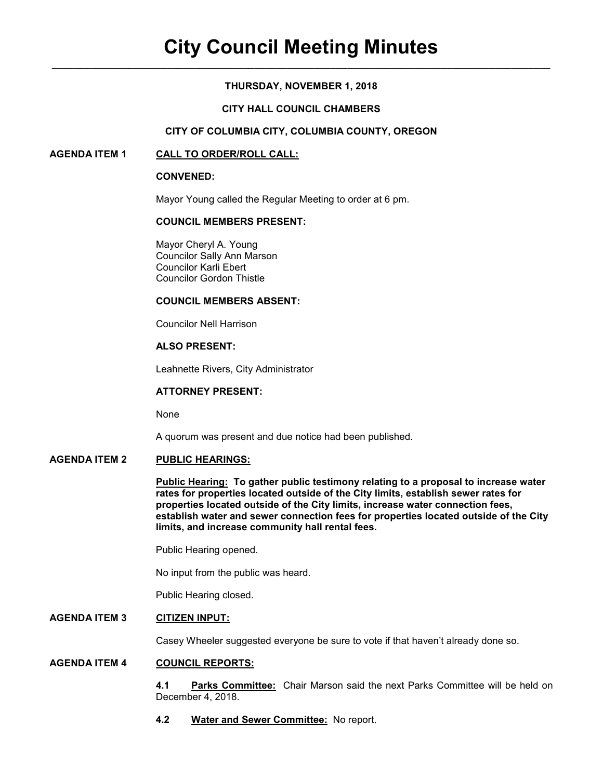## **THURSDAY, NOVEMBER 1, 2018**

## **CITY HALL COUNCIL CHAMBERS**

## **CITY OF COLUMBIA CITY, COLUMBIA COUNTY, OREGON**

## **AGENDA ITEM 1 CALL TO ORDER/ROLL CALL:**

#### **CONVENED:**

Mayor Young called the Regular Meeting to order at 6 pm.

### **COUNCIL MEMBERS PRESENT:**

 Mayor Cheryl A. Young Councilor Sally Ann Marson Councilor Karli Ebert Councilor Gordon Thistle

#### **COUNCIL MEMBERS ABSENT:**

Councilor Nell Harrison

# **ALSO PRESENT:**

Leahnette Rivers, City Administrator

### **ATTORNEY PRESENT:**

None

A quorum was present and due notice had been published.

#### **AGENDA ITEM 2 PUBLIC HEARINGS:**

**Public Hearing: To gather public testimony relating to a proposal to increase water rates for properties located outside of the City limits, establish sewer rates for properties located outside of the City limits, increase water connection fees, establish water and sewer connection fees for properties located outside of the City limits, and increase community hall rental fees.** 

Public Hearing opened.

No input from the public was heard.

Public Hearing closed.

## **AGENDA ITEM 3 CITIZEN INPUT:**

Casey Wheeler suggested everyone be sure to vote if that haven't already done so.

#### **AGENDA ITEM 4 COUNCIL REPORTS:**

**4.1 Parks Committee:** Chair Marson said the next Parks Committee will be held on December 4, 2018.

**4.2 Water and Sewer Committee:** No report.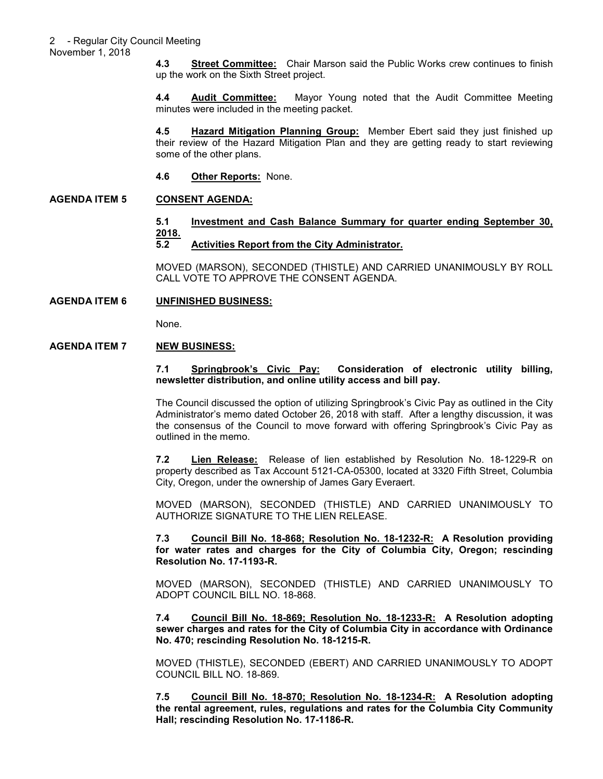November 1, 2018

**4.3 Street Committee:** Chair Marson said the Public Works crew continues to finish up the work on the Sixth Street project.

**4.4 Audit Committee:** Mayor Young noted that the Audit Committee Meeting minutes were included in the meeting packet.

**4.5 Hazard Mitigation Planning Group:** Member Ebert said they just finished up their review of the Hazard Mitigation Plan and they are getting ready to start reviewing some of the other plans.

**4.6 Other Reports:** None.

# **AGENDA ITEM 5 CONSENT AGENDA:**

## **5.1 Investment and Cash Balance Summary for quarter ending September 30, 2018.**

## **5.2 Activities Report from the City Administrator.**

MOVED (MARSON), SECONDED (THISTLE) AND CARRIED UNANIMOUSLY BY ROLL CALL VOTE TO APPROVE THE CONSENT AGENDA.

## **AGENDA ITEM 6 UNFINISHED BUSINESS:**

None.

## **AGENDA ITEM 7 NEW BUSINESS:**

### **7.1 Springbrook's Civic Pay: Consideration of electronic utility billing, newsletter distribution, and online utility access and bill pay.**

The Council discussed the option of utilizing Springbrook's Civic Pay as outlined in the City Administrator's memo dated October 26, 2018 with staff. After a lengthy discussion, it was the consensus of the Council to move forward with offering Springbrook's Civic Pay as outlined in the memo.

**7.2 Lien Release:** Release of lien established by Resolution No. 18-1229-R on property described as Tax Account 5121-CA-05300, located at 3320 Fifth Street, Columbia City, Oregon, under the ownership of James Gary Everaert.

MOVED (MARSON), SECONDED (THISTLE) AND CARRIED UNANIMOUSLY TO AUTHORIZE SIGNATURE TO THE LIEN RELEASE.

**7.3 Council Bill No. 18-868; Resolution No. 18-1232-R: A Resolution providing for water rates and charges for the City of Columbia City, Oregon; rescinding Resolution No. 17-1193-R.** 

MOVED (MARSON), SECONDED (THISTLE) AND CARRIED UNANIMOUSLY TO ADOPT COUNCIL BILL NO. 18-868.

**7.4 Council Bill No. 18-869; Resolution No. 18-1233-R: A Resolution adopting sewer charges and rates for the City of Columbia City in accordance with Ordinance No. 470; rescinding Resolution No. 18-1215-R.** 

MOVED (THISTLE), SECONDED (EBERT) AND CARRIED UNANIMOUSLY TO ADOPT COUNCIL BILL NO. 18-869.

**7.5 Council Bill No. 18-870; Resolution No. 18-1234-R: A Resolution adopting the rental agreement, rules, regulations and rates for the Columbia City Community Hall; rescinding Resolution No. 17-1186-R.**